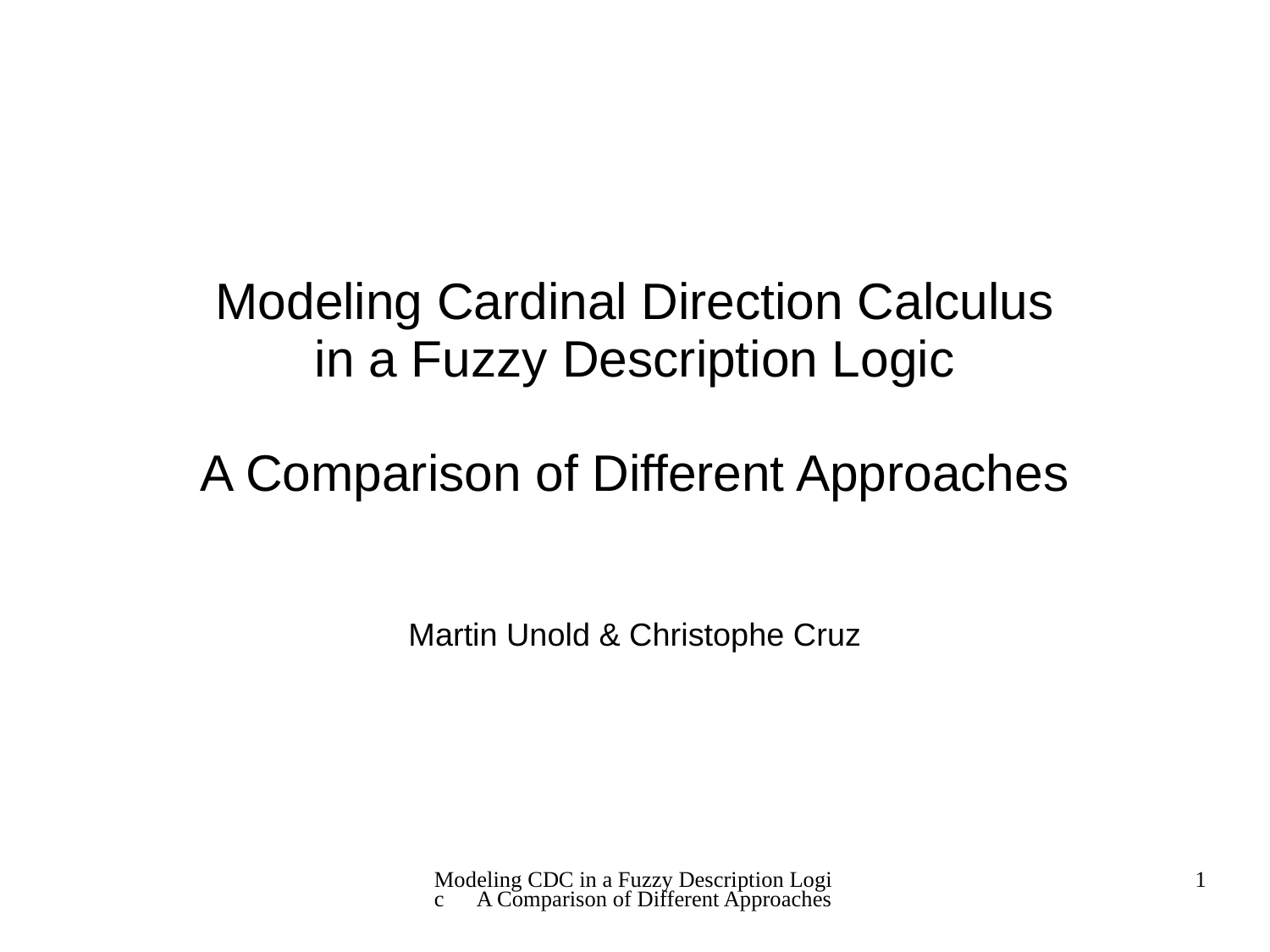#### Modeling Cardinal Direction Calculus in a Fuzzy Description Logic

#### A Comparison of Different Approaches

Martin Unold & Christophe Cruz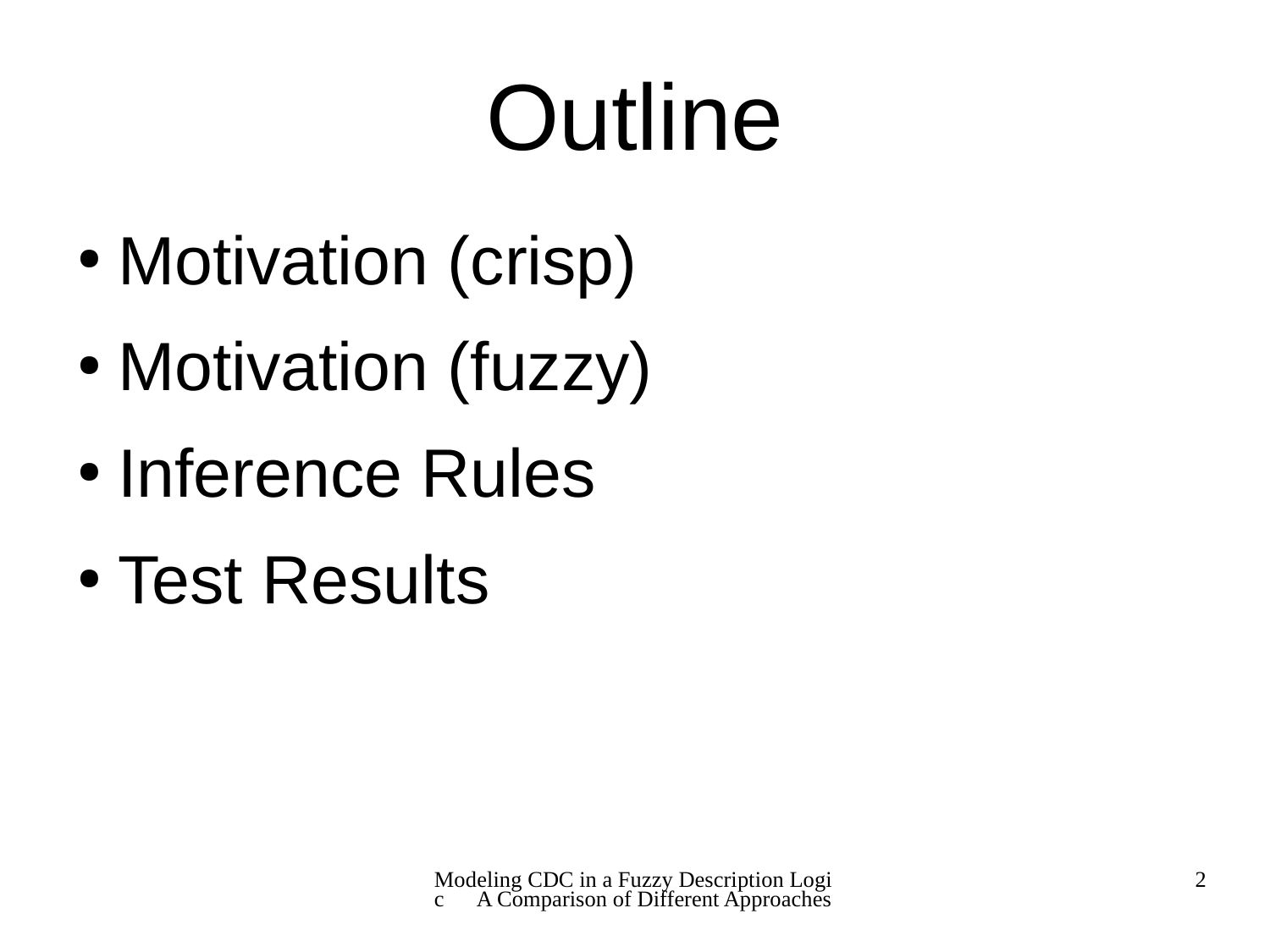# Outline

- Motivation (crisp)
- Motivation (fuzzy)
- Inference Rules
- Test Results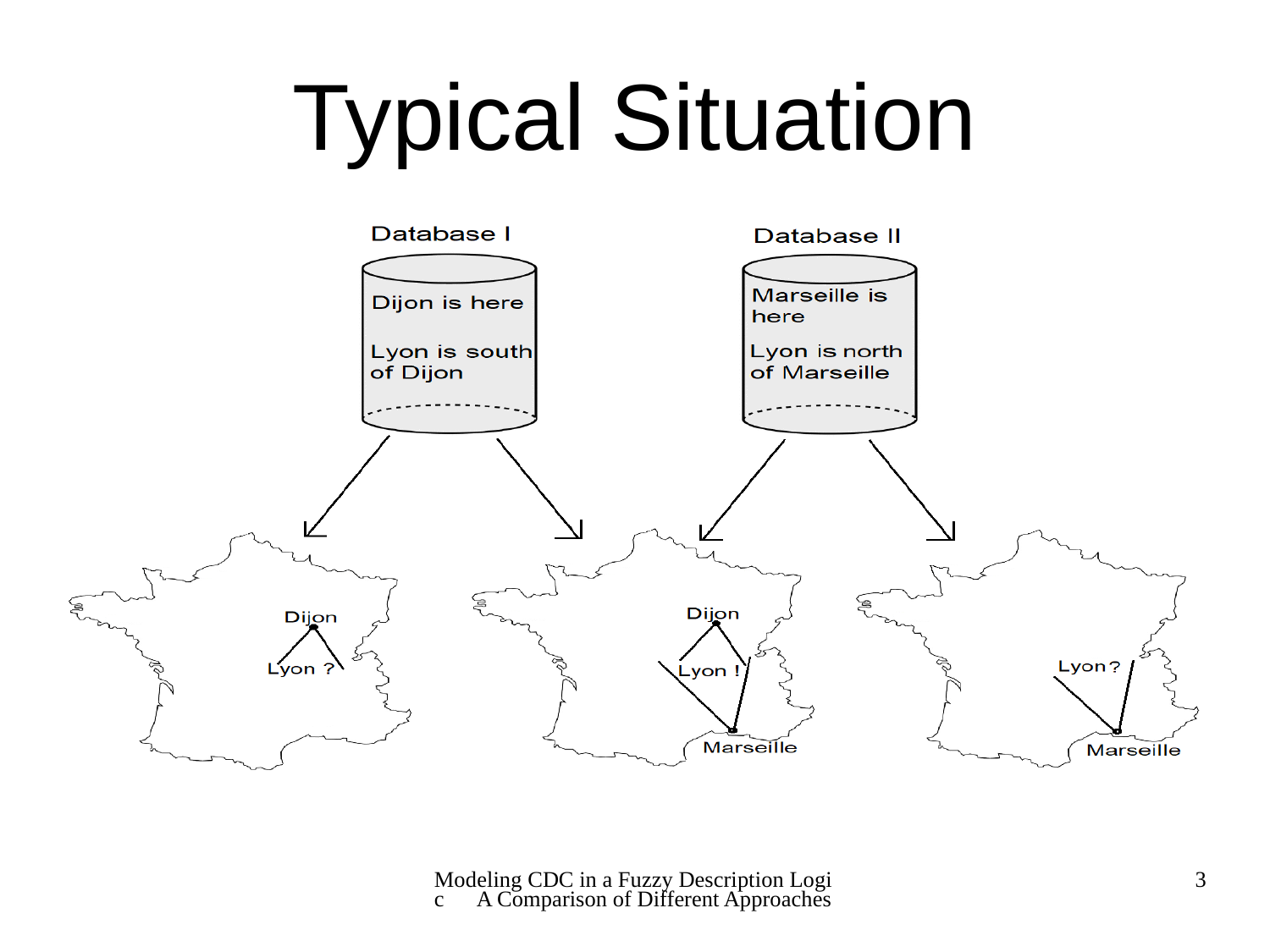# Typical Situation

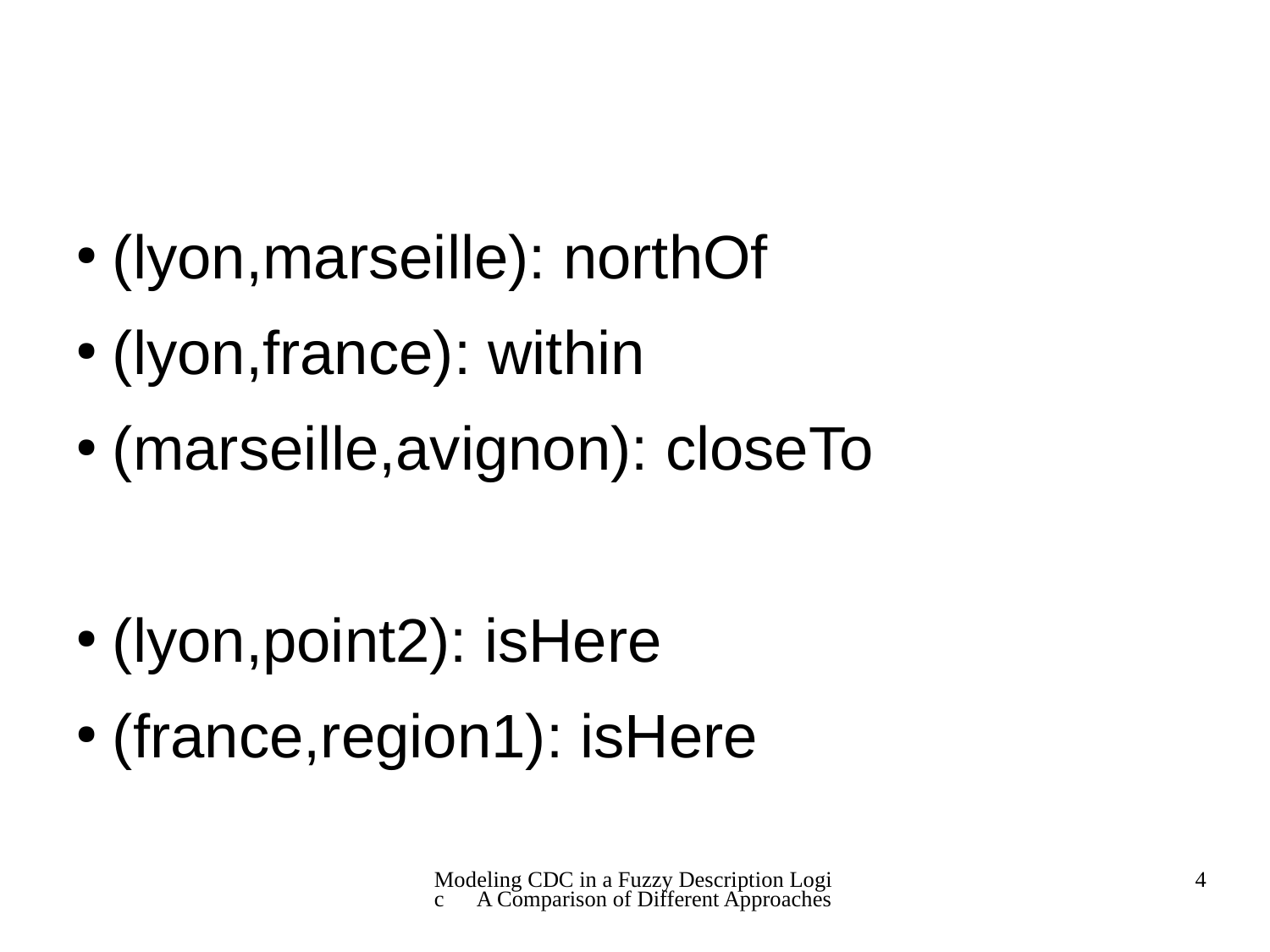- (Iyon, marseille): northOf
- (Iyon, france): within
- (marseille,avignon): closeTo

- (Iyon, point2): is Here
- (france, region1): is Here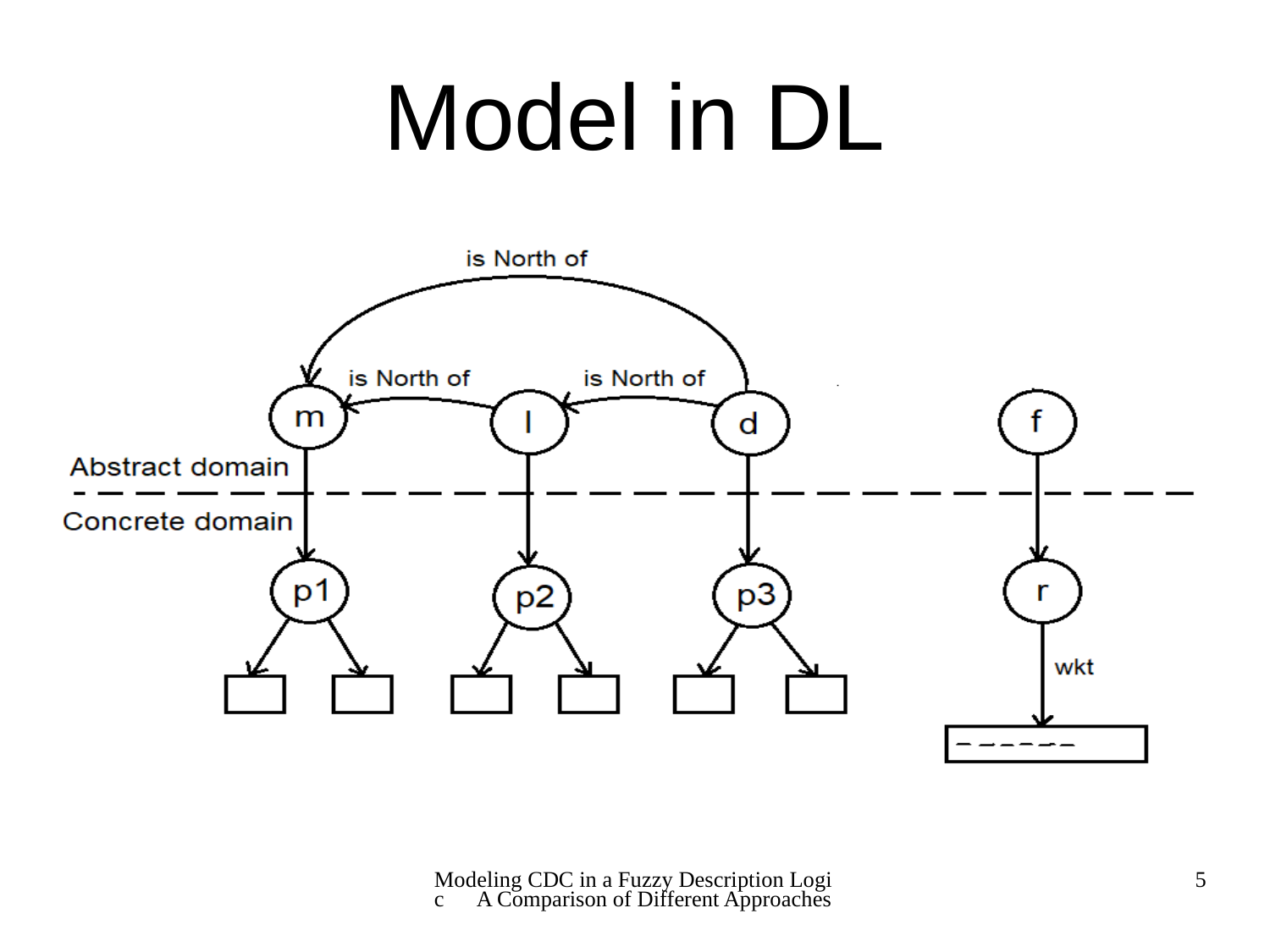## Model in DL

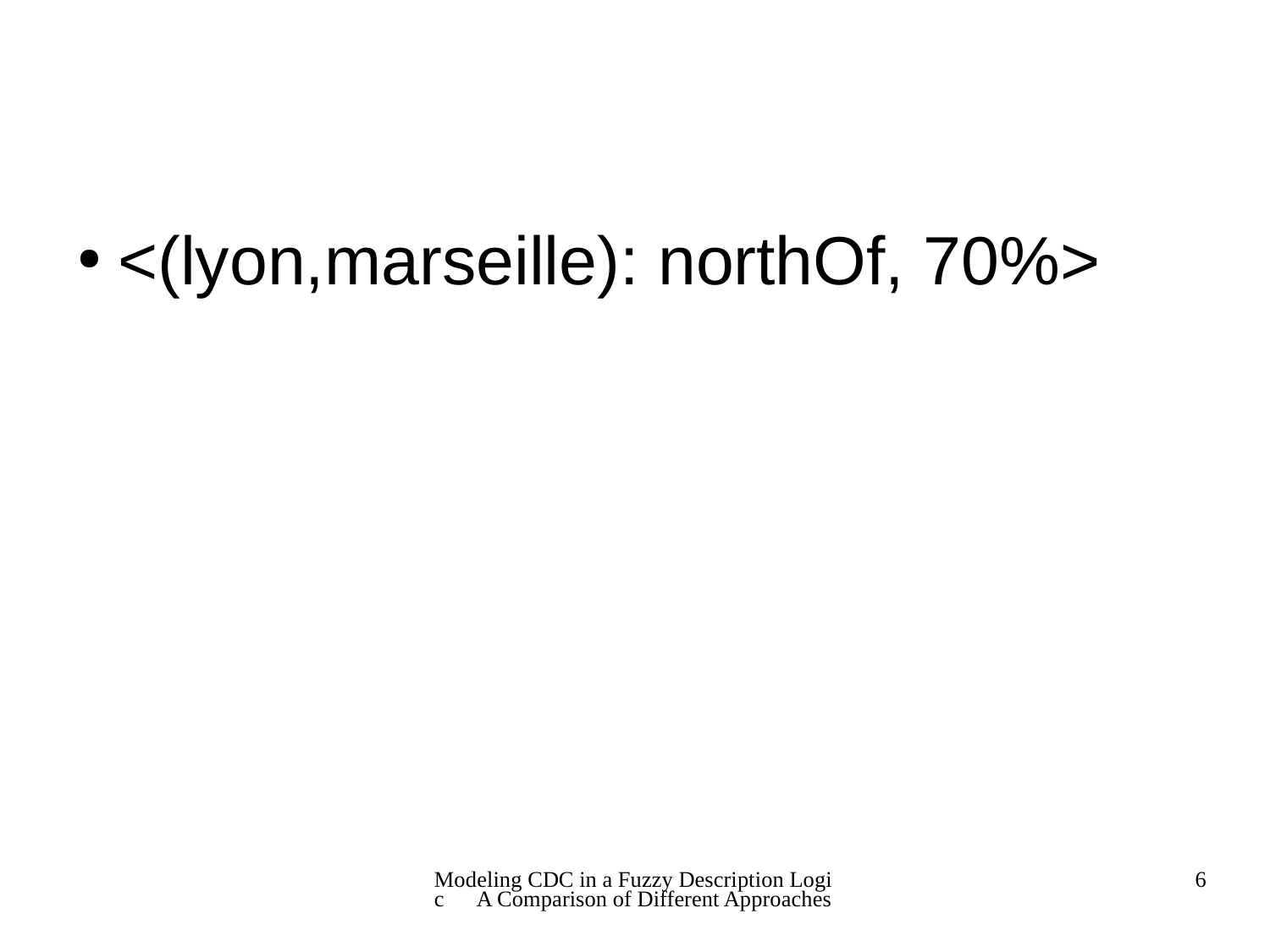● <(lyon,marseille): northOf, 70%>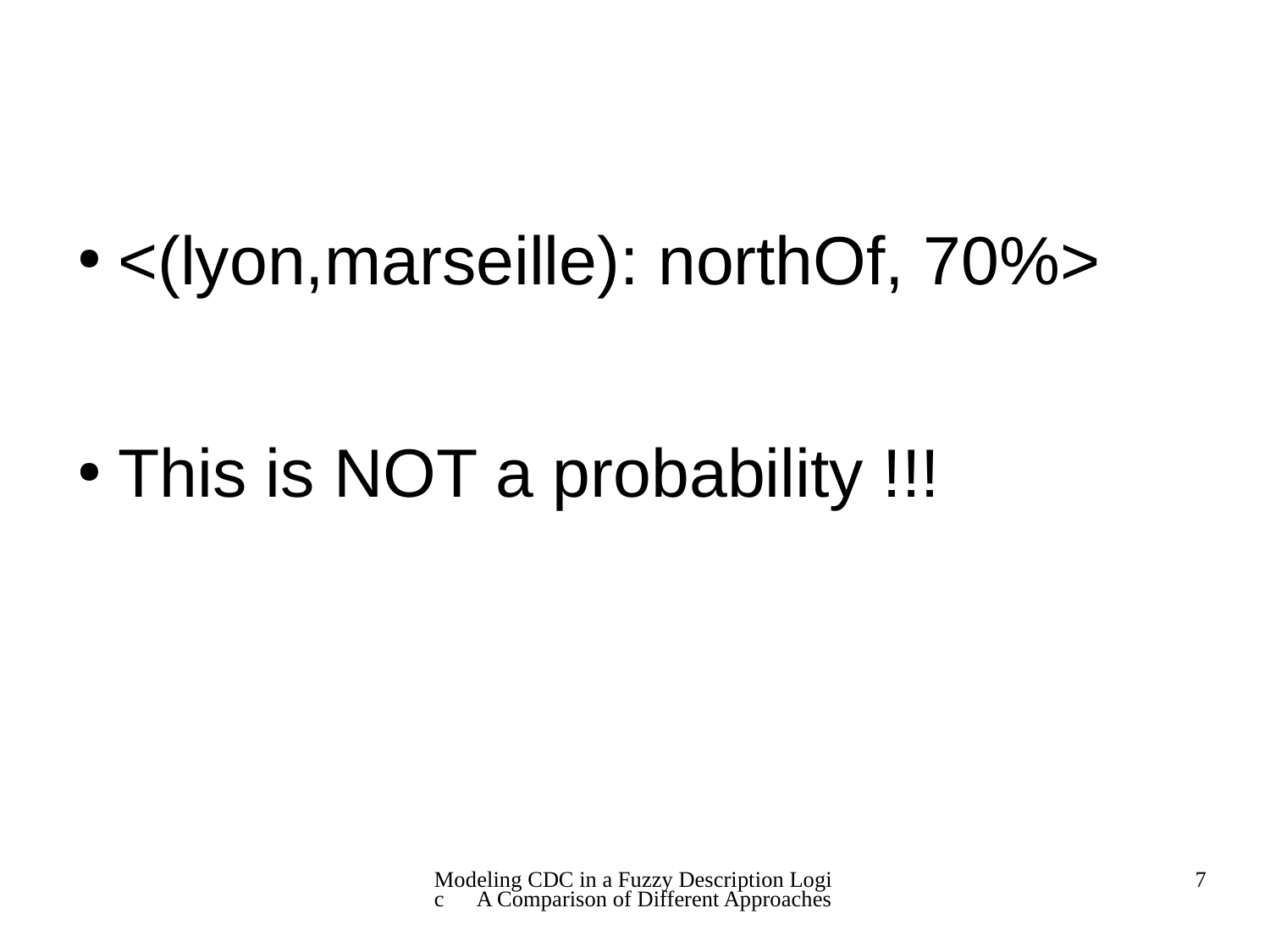● <(lyon,marseille): northOf, 70%>

• This is NOT a probability !!!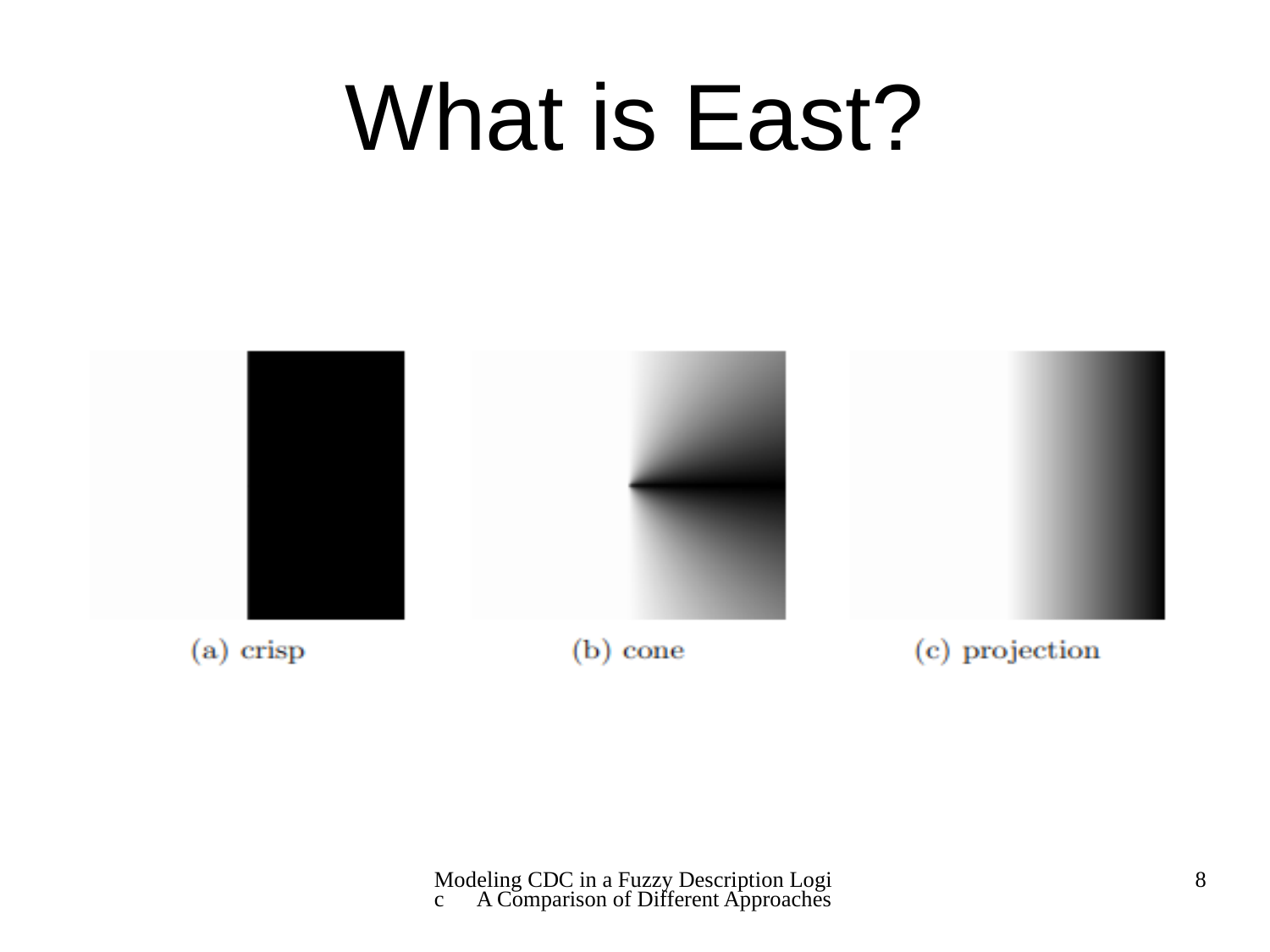#### What is East?

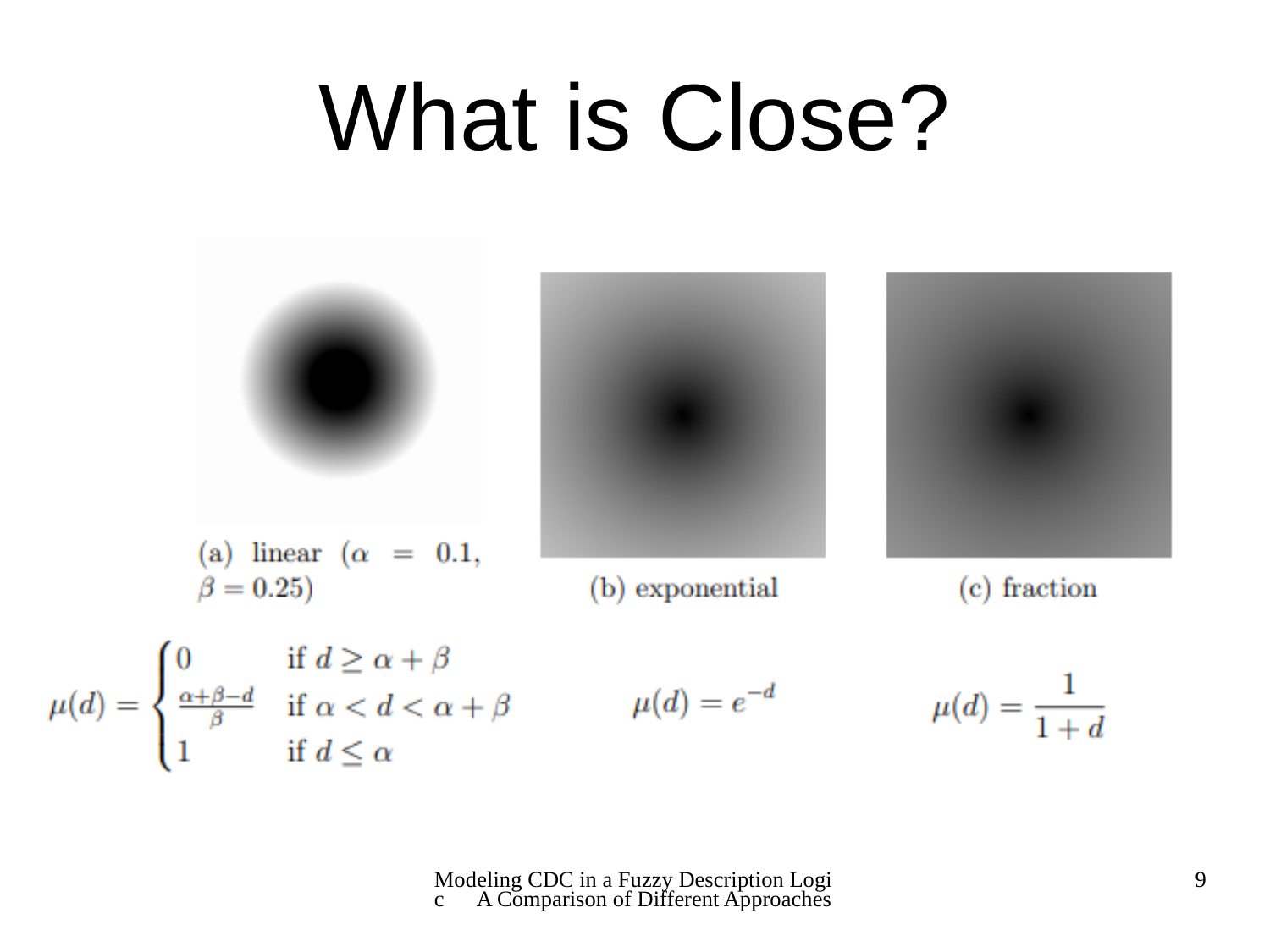#### What is Close?

(a) linear (
$$
\alpha = 0.1
$$
,  
\n $\beta = 0.25$ )  
\n(b) exponential  
\n(c) fraction  
\n
$$
\mu(d) = \begin{cases}\n0 & \text{if } d \ge \alpha + \beta \\
\frac{\alpha + \beta - d}{\beta} & \text{if } \alpha < d < \alpha + \beta \\
1 & \text{if } d \le \alpha\n\end{cases} \qquad \mu(d) = e^{-d} \qquad \mu(d) = \frac{1}{1 + d}
$$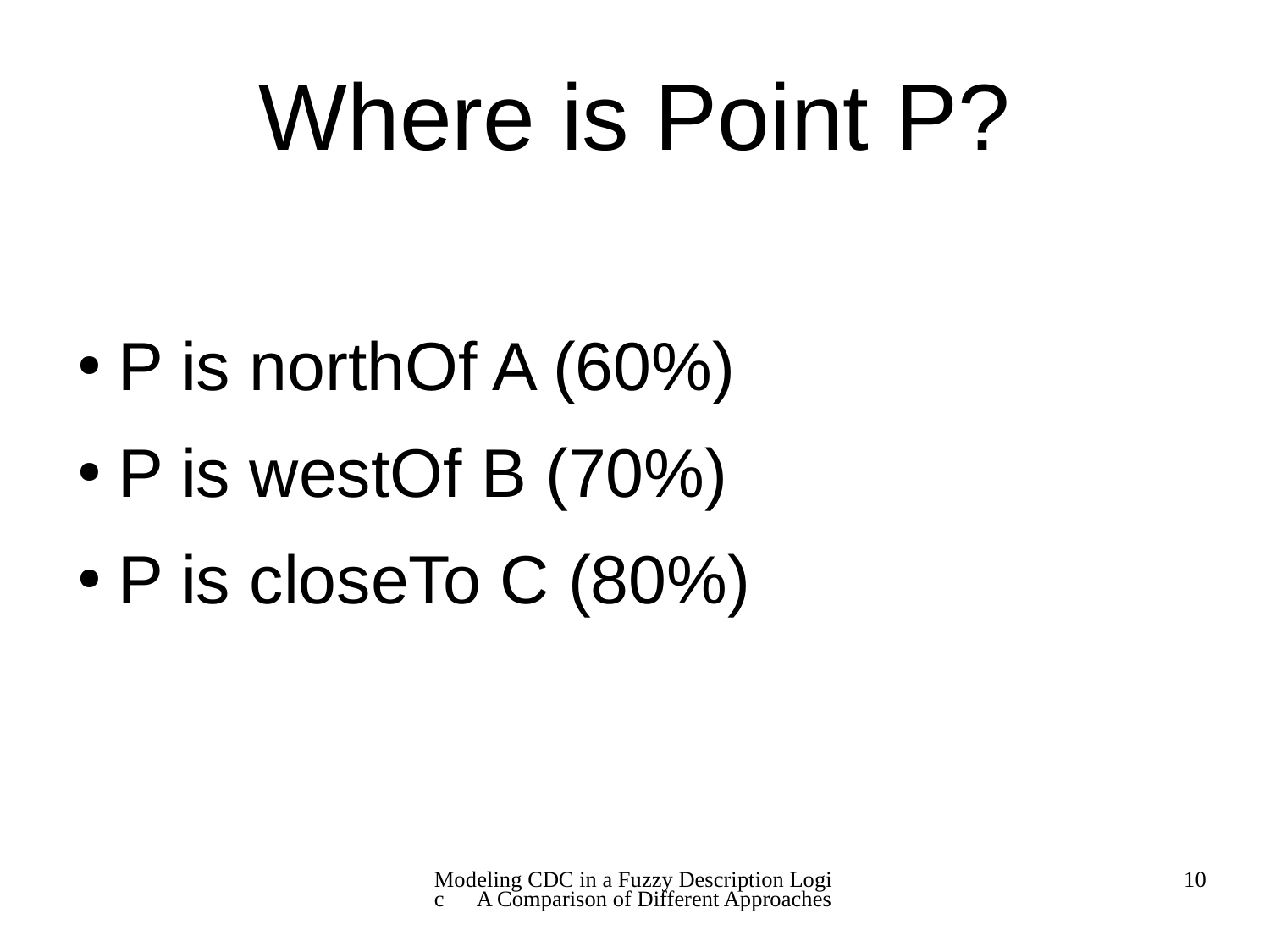# Where is Point P?

- $\bullet$  P is northOf A (60%)
- P is westOf B (70%)
- P is closeTo C (80%)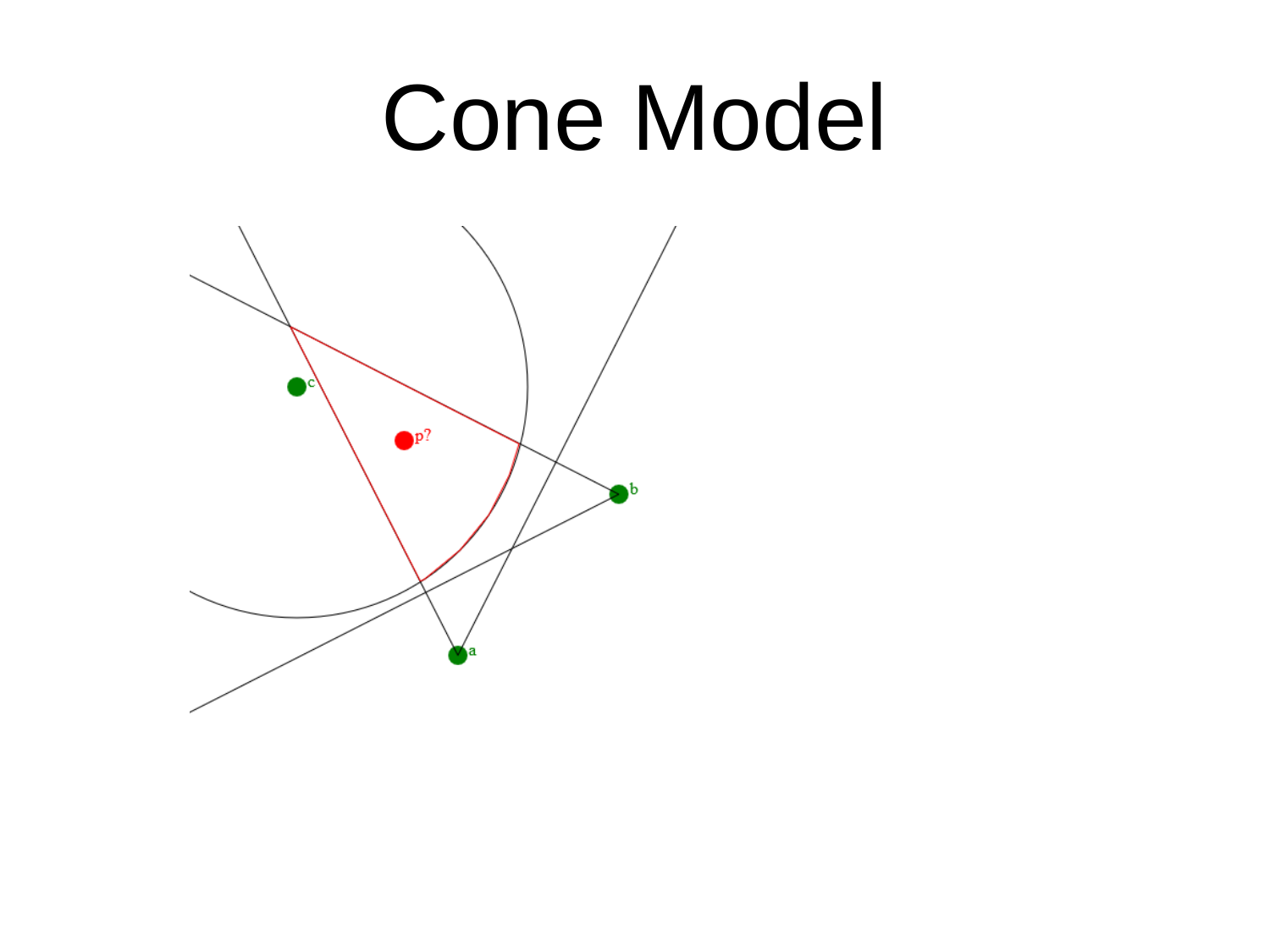#### Cone Model

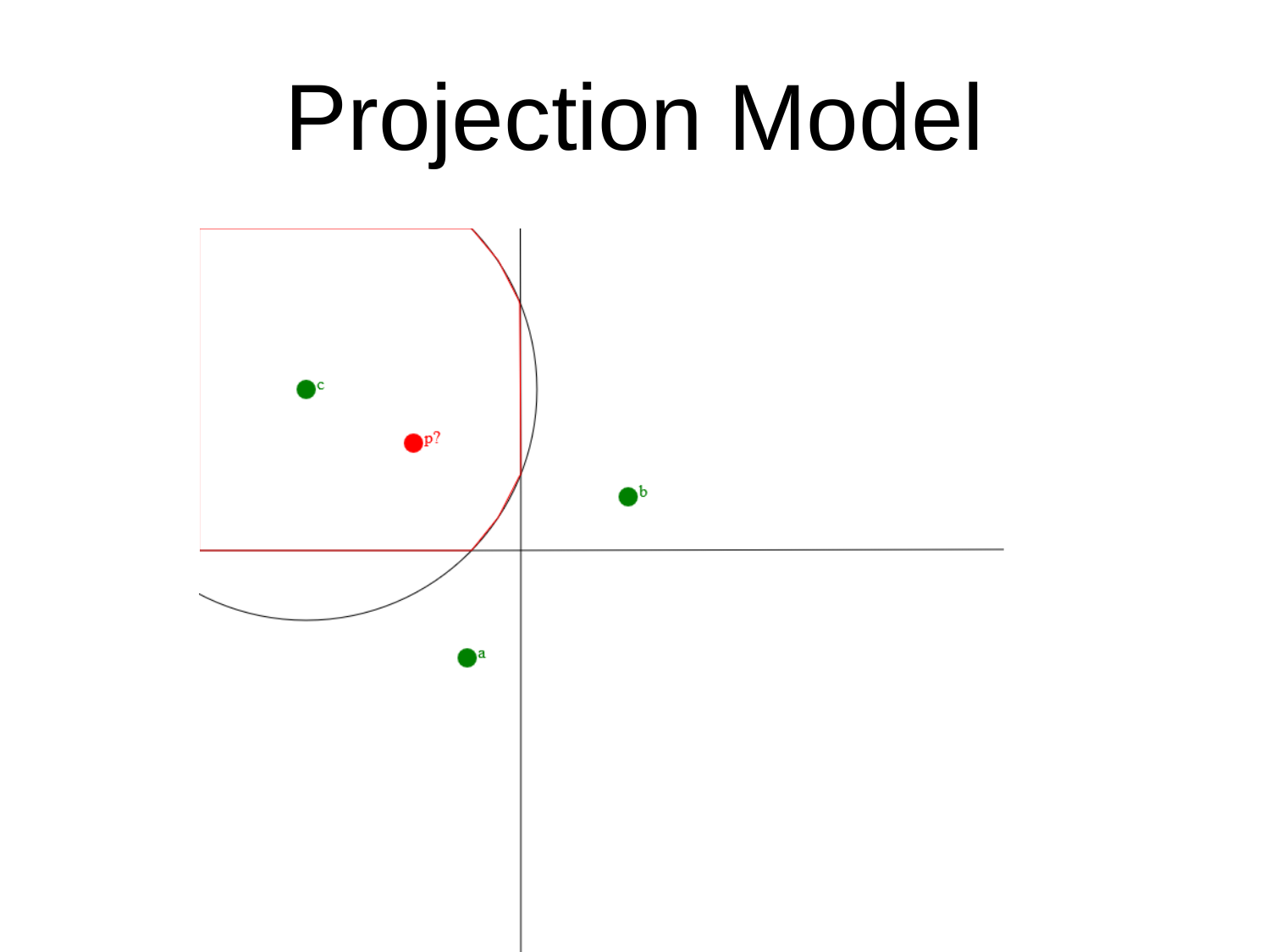#### Projection Model

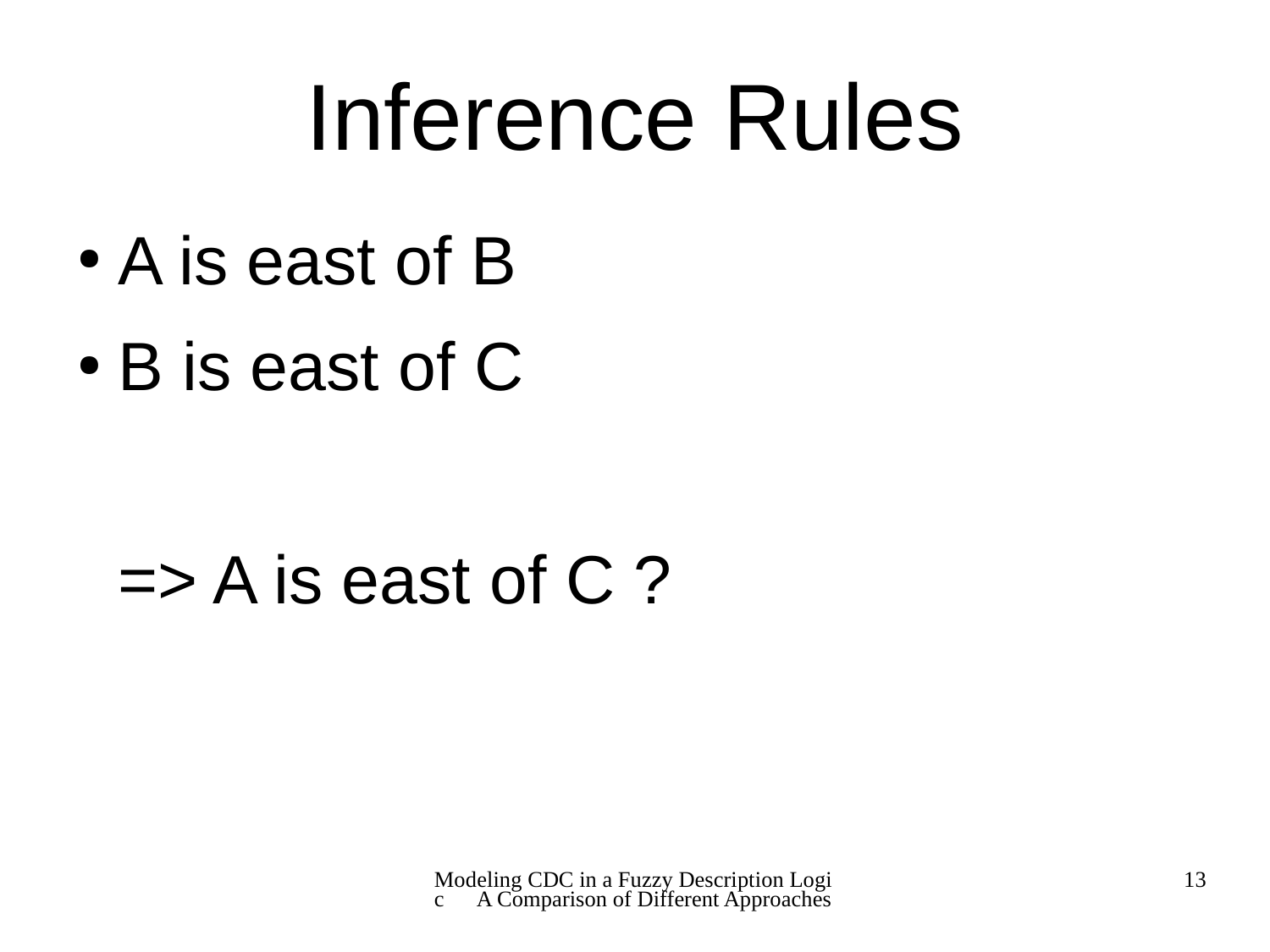## Inference Rules

- A is east of B
- B is east of C

#### $\Rightarrow$  A is east of C ?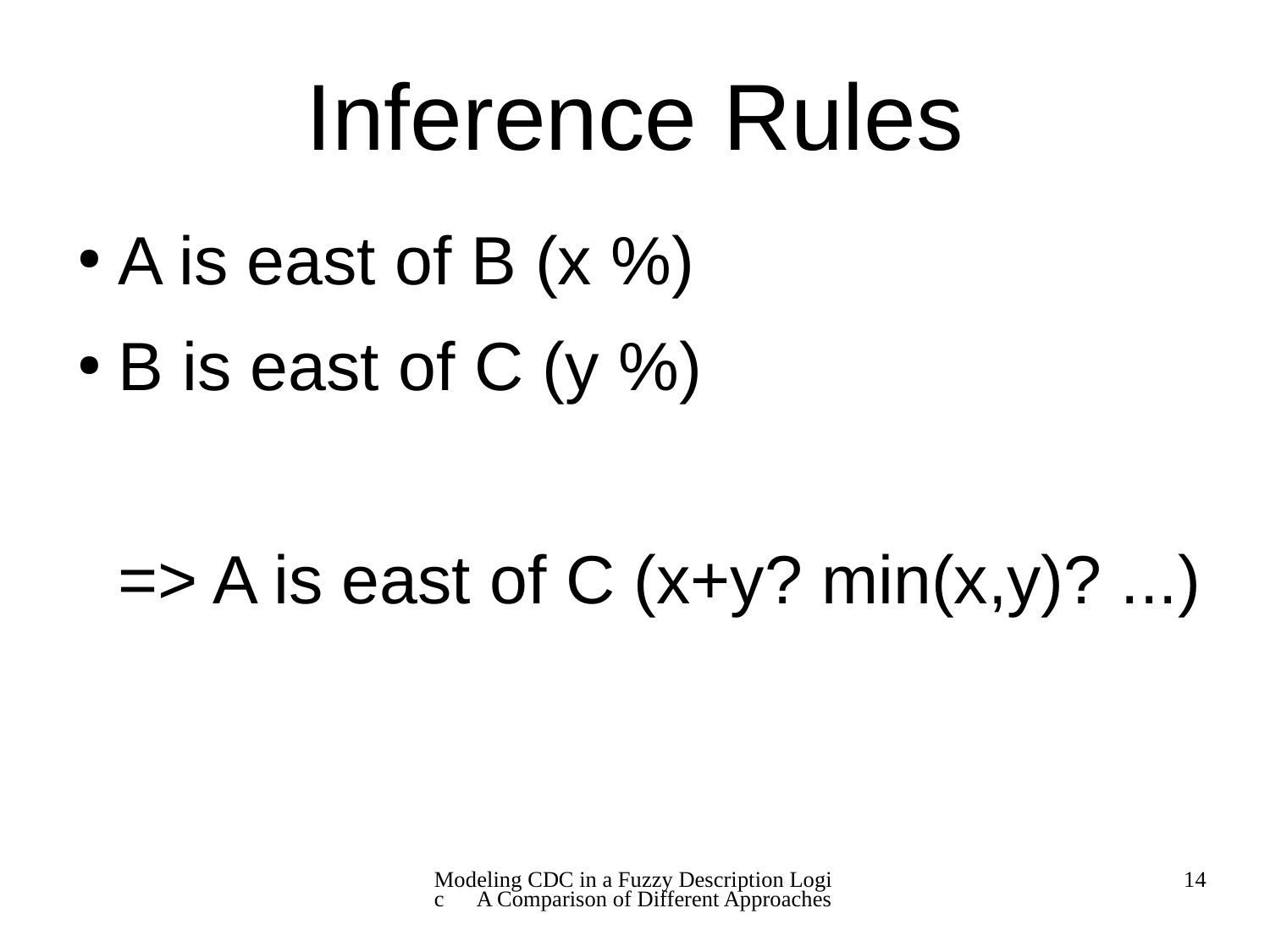## Inference Rules

- $\bullet$  A is east of B  $(x \%)$
- $\bullet$  B is east of C (y %)

#### $\Rightarrow$  A is east of C (x+y? min(x,y)? ...)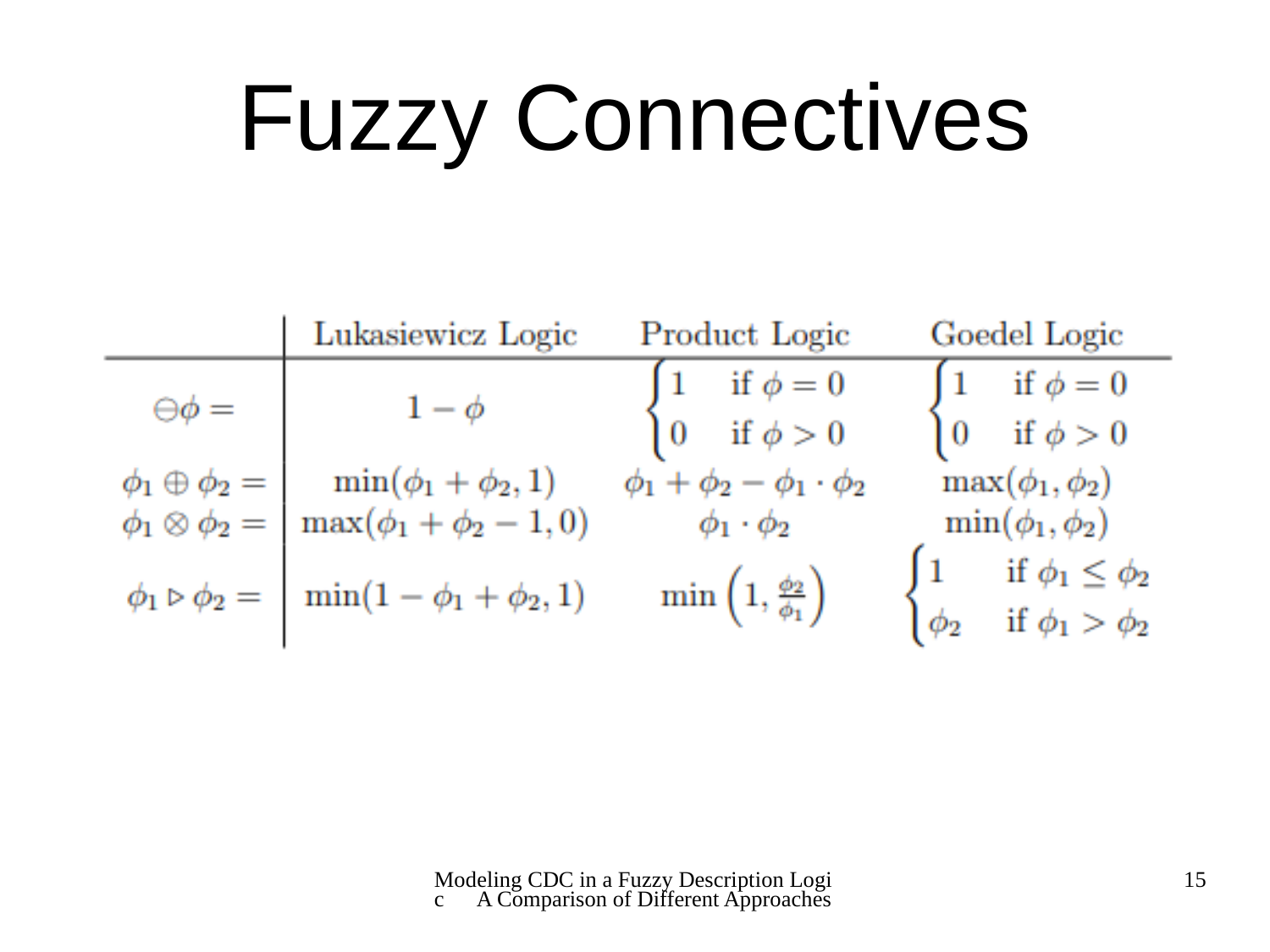# Fuzzy Connectives

|                  | Lukasiewicz Logic                                                | Product Logic                                                                  | Goedel Logic                                                                   |  |
|------------------|------------------------------------------------------------------|--------------------------------------------------------------------------------|--------------------------------------------------------------------------------|--|
| $\ominus \phi =$ | $1-\phi$                                                         | $\begin{cases} 1 & \text{if } \phi = 0 \\ 0 & \text{if } \phi > 0 \end{cases}$ | $\begin{cases} 1 & \text{if } \phi = 0 \\ 0 & \text{if } \phi > 0 \end{cases}$ |  |
|                  | $\phi_1 \oplus \phi_2 = \min(\phi_1 + \phi_2, 1)$                | $\phi_1 + \phi_2 - \phi_1 \cdot \phi_2$                                        | $\max(\phi_1, \phi_2)$                                                         |  |
|                  | $\phi_1 \otimes \phi_2 = \Big \max(\phi_1 + \phi_2 - 1, 0)\Big $ | $\phi_1\cdot\phi_2$                                                            | $\min(\phi_1,\phi_2)$                                                          |  |
|                  | $\phi_1 \triangleright \phi_2 = \min(1 - \phi_1 + \phi_2, 1)$    | $\min\left(1,\frac{\phi_2}{\phi_1}\right)$                                     | $\int 1$ if $\phi_1 \leq \phi_2$<br>$\phi_2$ if $\phi_1 > \phi_2$              |  |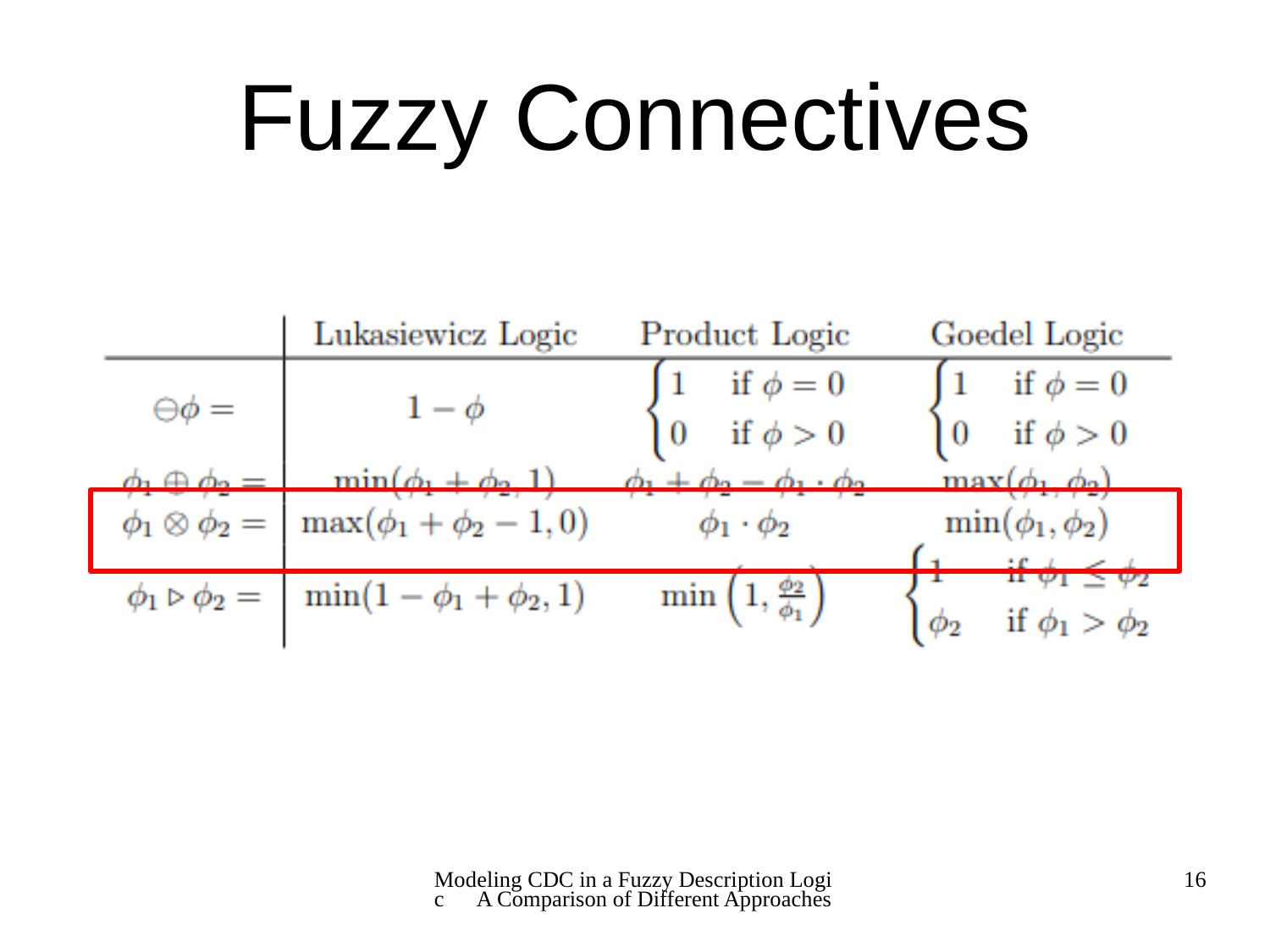# Fuzzy Connectives

|                          | Lukasiewicz Logic                                             | Product Logic                                                        | Goedel Logic                         |  |
|--------------------------|---------------------------------------------------------------|----------------------------------------------------------------------|--------------------------------------|--|
| $\Theta \phi =$          | $1-\phi$                                                      | if $\phi = 0$<br>$\begin{cases} 0 & \text{if } \phi > 0 \end{cases}$ | if $\phi = 0$                        |  |
| $\phi_1 \oplus \phi_2 =$ | $\min(\phi_1 + \phi_2)$                                       | $\phi_1 + \phi_2 - \phi_1 \cdot \phi_2$                              | $0$ if $\phi > 0$<br>$max(b_1, b_2)$ |  |
| $\phi_1\otimes\phi_2=$   | $max(\phi_1 + \phi_2 - 1, 0)$                                 | $\phi_1 \cdot \phi_2$                                                | $\min(\phi_1, \phi_2)$               |  |
|                          | $\phi_1 \triangleright \phi_2 = \min(1 - \phi_1 + \phi_2, 1)$ | $\min\left(1,\frac{\phi_2}{\phi_1}\right)$                           | if $\phi_1 > \phi_2$<br>$\varPhi_2$  |  |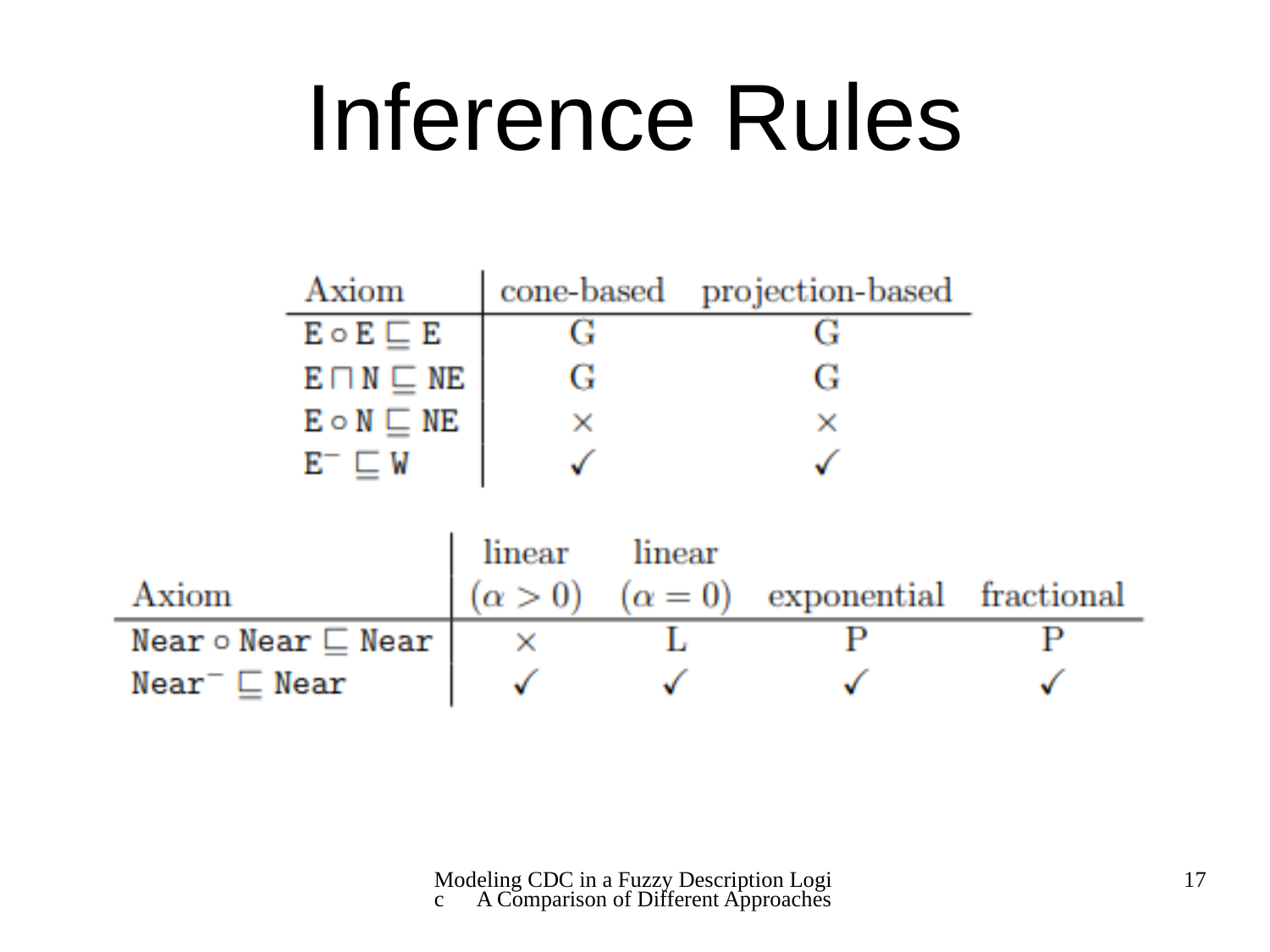#### Inference Rules

|                                      | Axiom                       |                |        | cone-based projection-based           |  |
|--------------------------------------|-----------------------------|----------------|--------|---------------------------------------|--|
|                                      | $E \circ E \sqsubseteq E$   |                |        |                                       |  |
|                                      | $E \sqcap N \sqsubseteq NE$ |                |        | G                                     |  |
|                                      | $E \circ N \sqsubseteq NE$  | ×              |        | ×                                     |  |
|                                      | $E^- \sqsubseteq W$         |                |        |                                       |  |
|                                      |                             |                |        |                                       |  |
|                                      |                             | linear         | linear |                                       |  |
| Axiom                                |                             | $(\alpha > 0)$ |        | $(\alpha = 0)$ exponential fractional |  |
| Near $\circ$ Near $\sqsubseteq$ Near |                             | ×              |        | Р                                     |  |
| $Near^- \sqsubseteq Near$            |                             |                |        |                                       |  |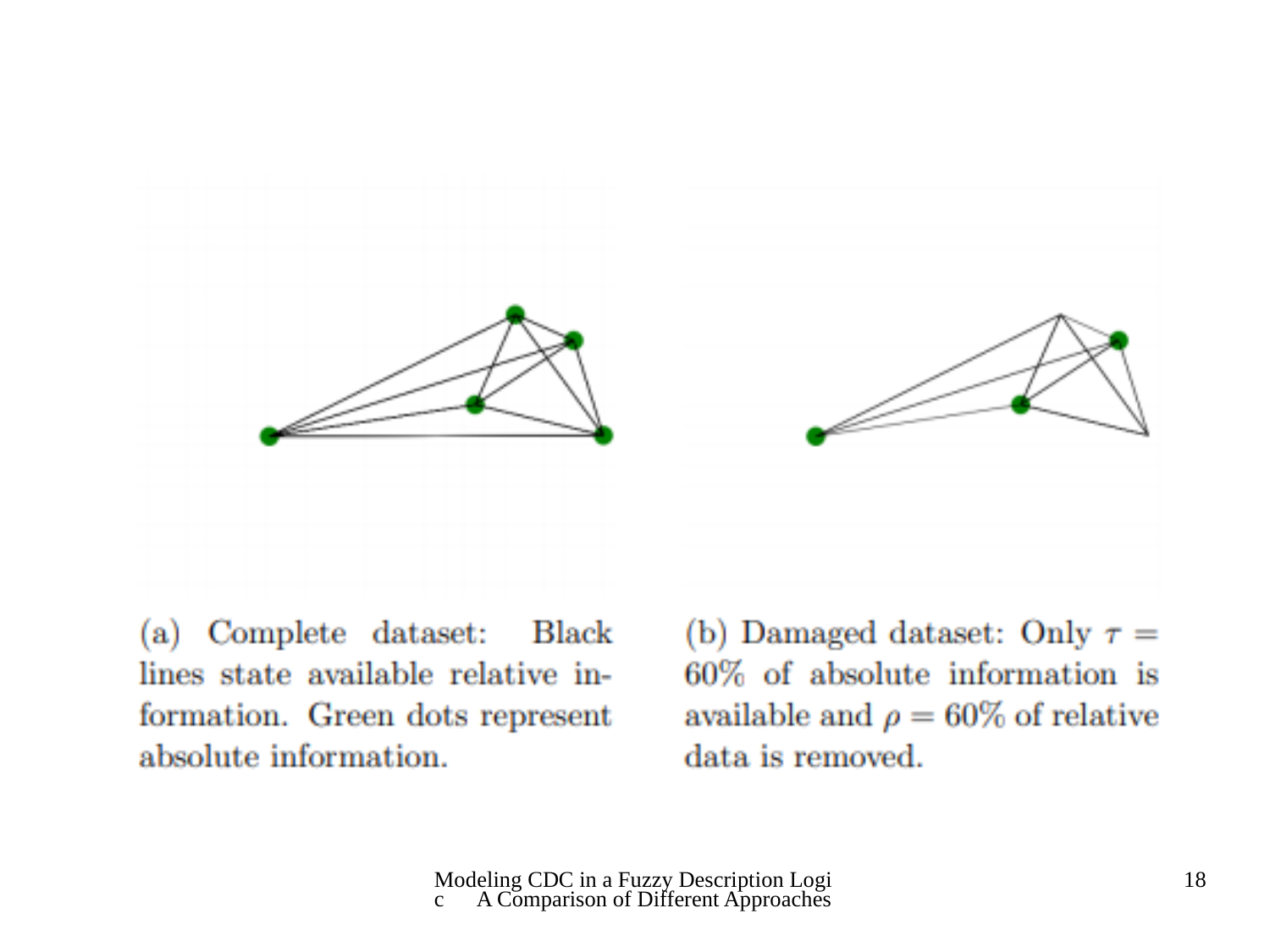

(a) Complete dataset: Black lines state available relative information. Green dots represent absolute information.

(b) Damaged dataset: Only  $\tau =$ 60% of absolute information is available and  $\rho = 60\%$  of relative data is removed.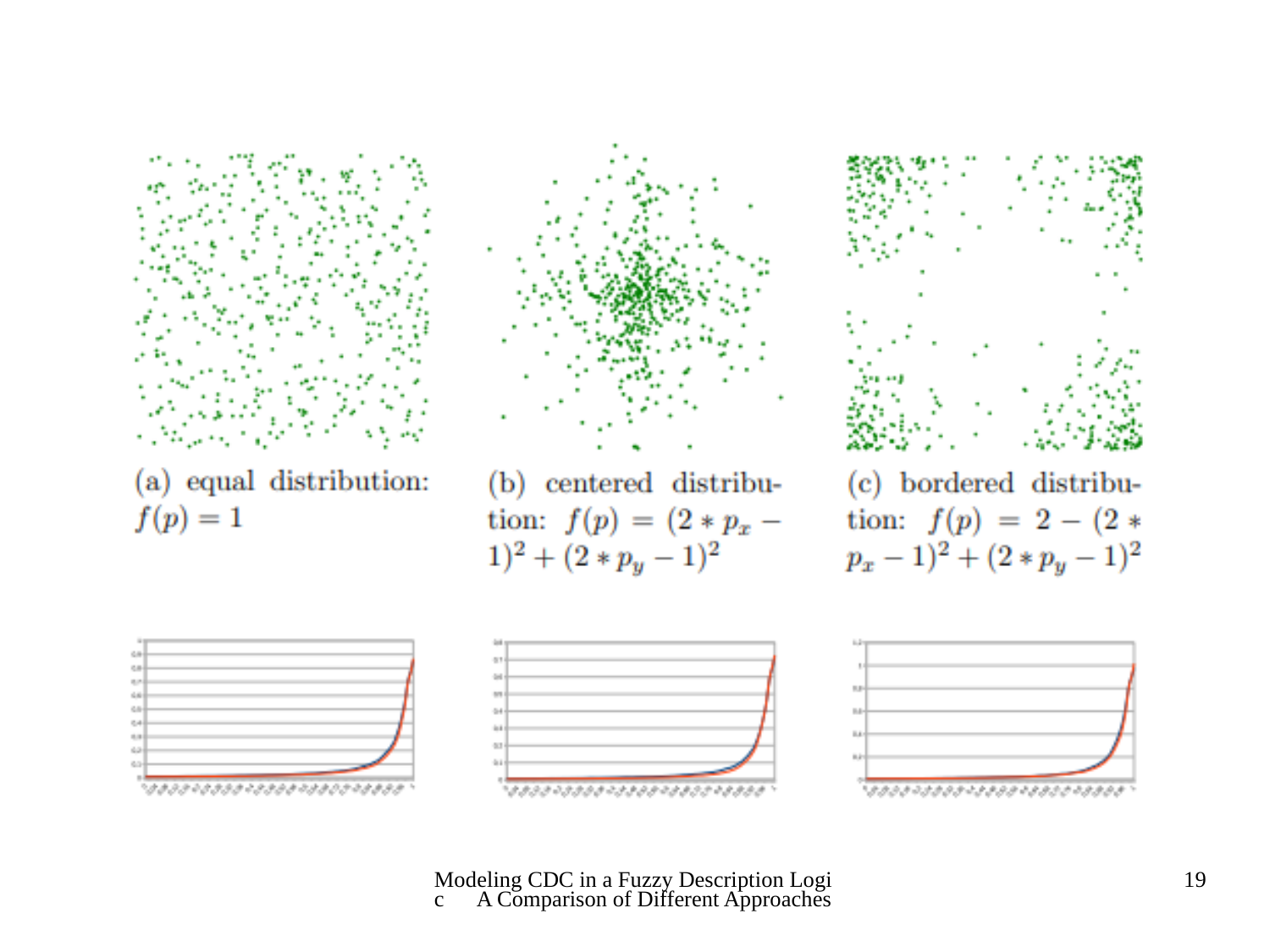

(a) equal distribution:  $f(p)=1$ 



(b) centered distribution:  $f(p) = (2 * p_x - )$  $(1)^2 + (2*p_y-1)^2$ 



(c) bordered distribution:  $f(p) = 2 - (2 *$  $(p_x-1)^2+(2*p_y-1)^2$ 





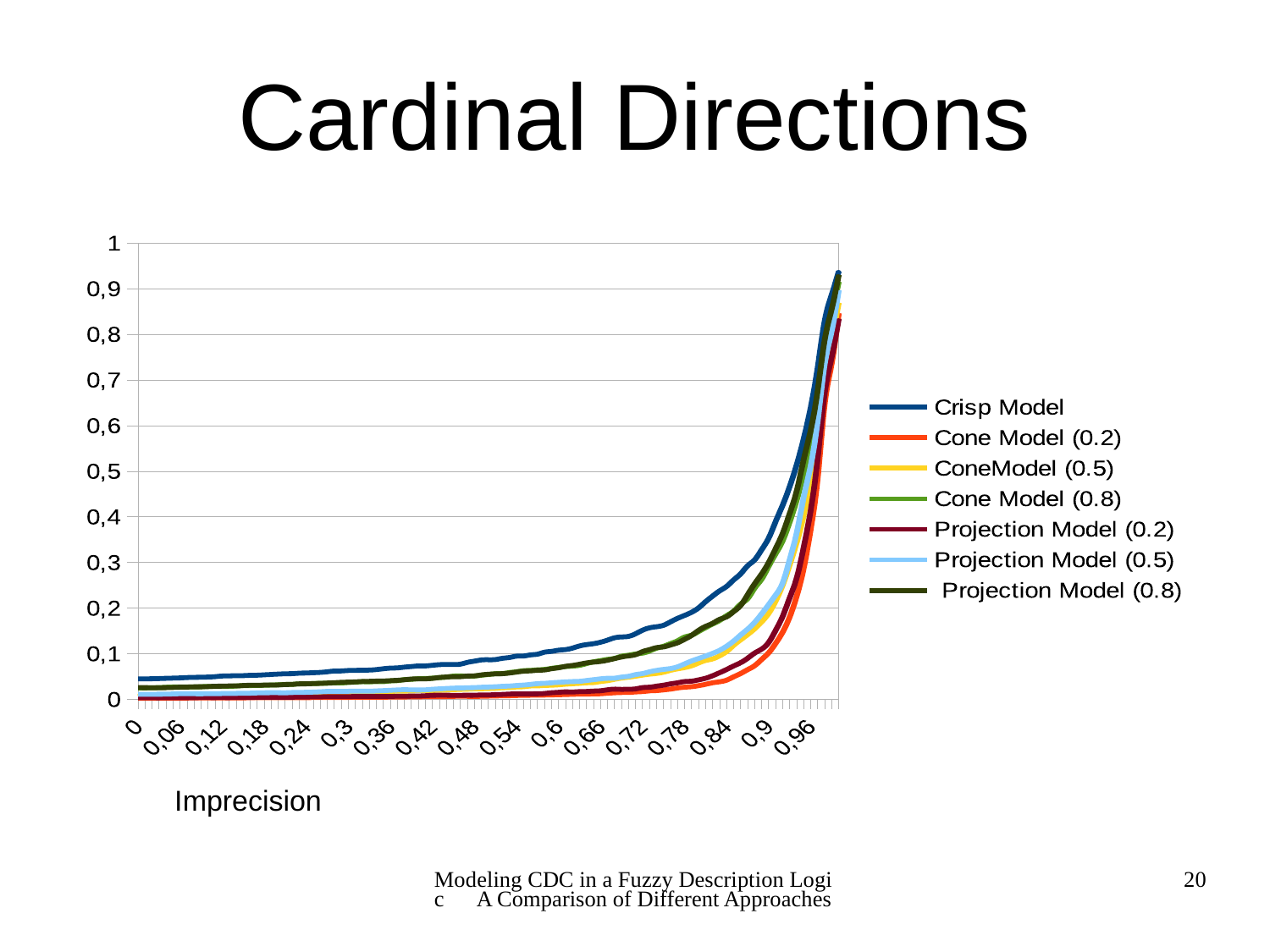## Cardinal Directions



Imprecision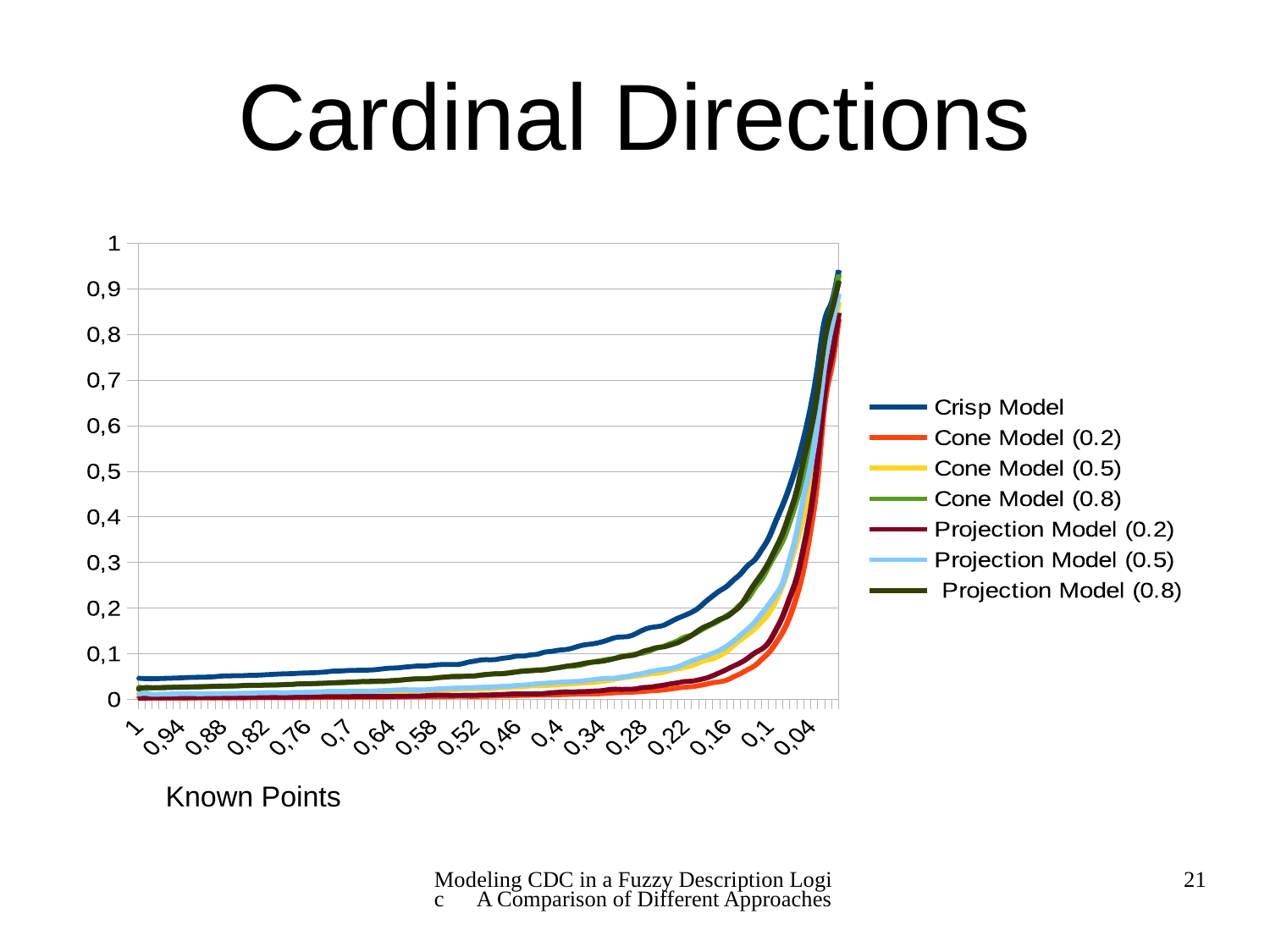## Cardinal Directions



Known Points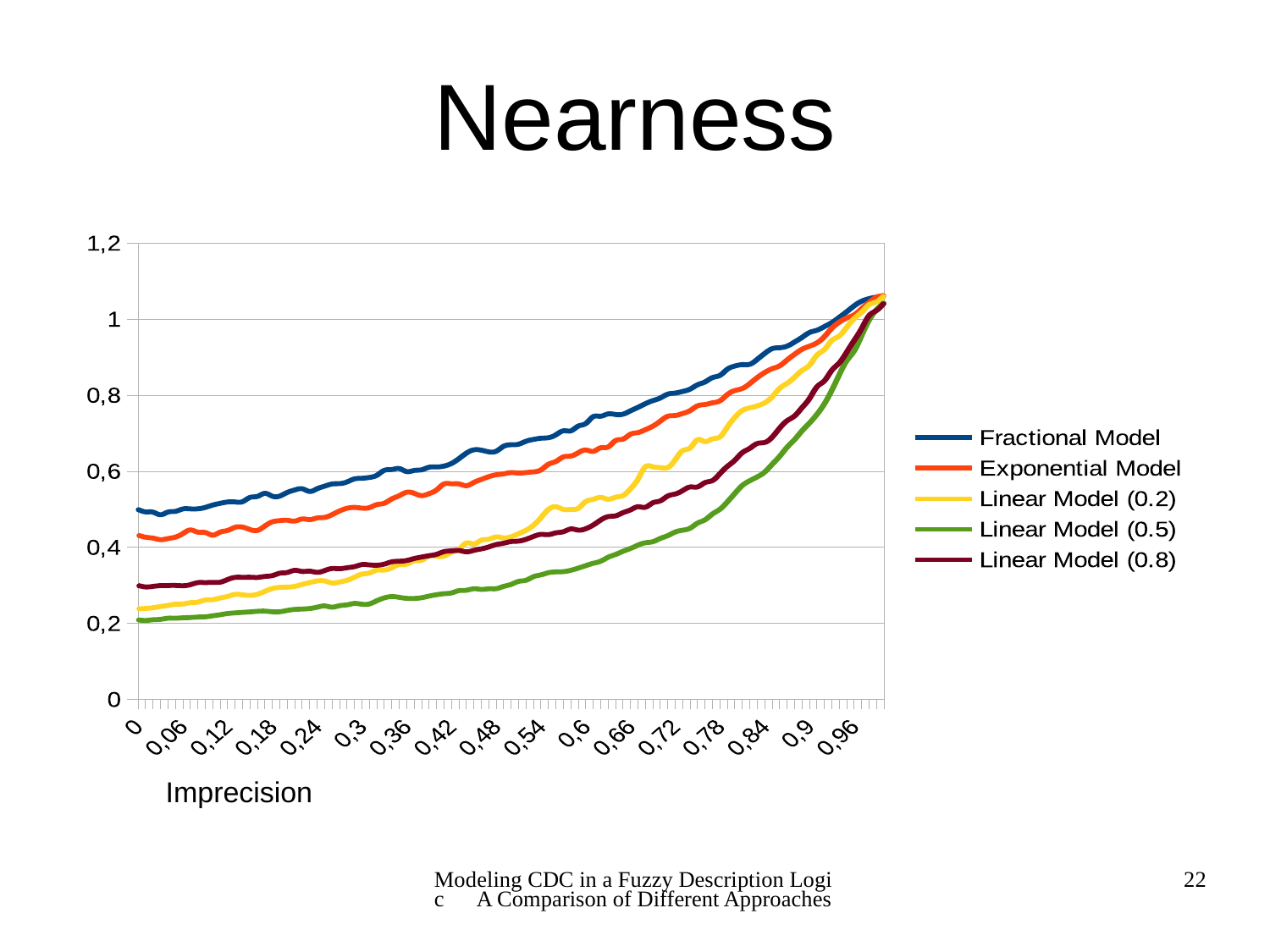#### Nearness

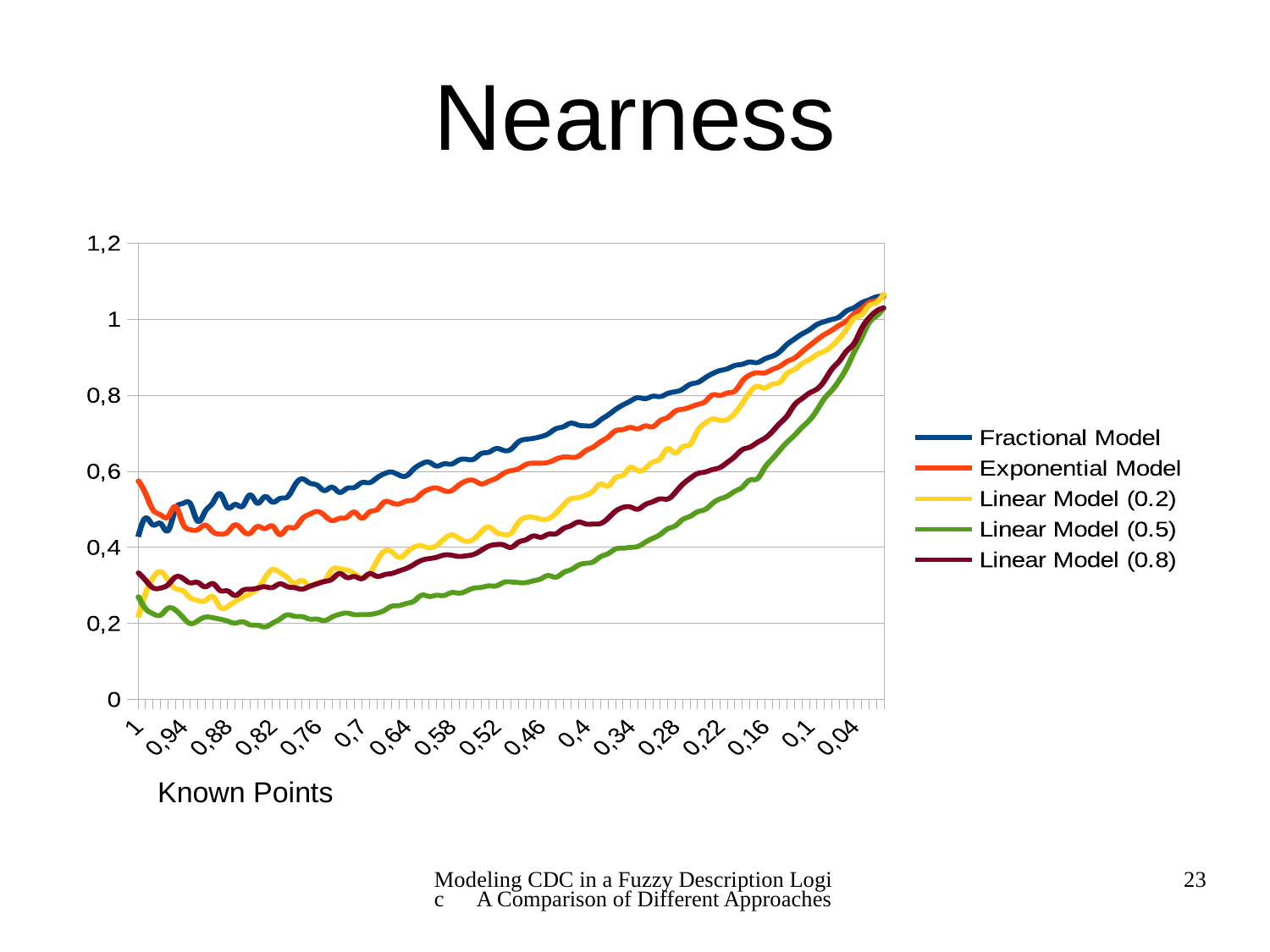#### Nearness